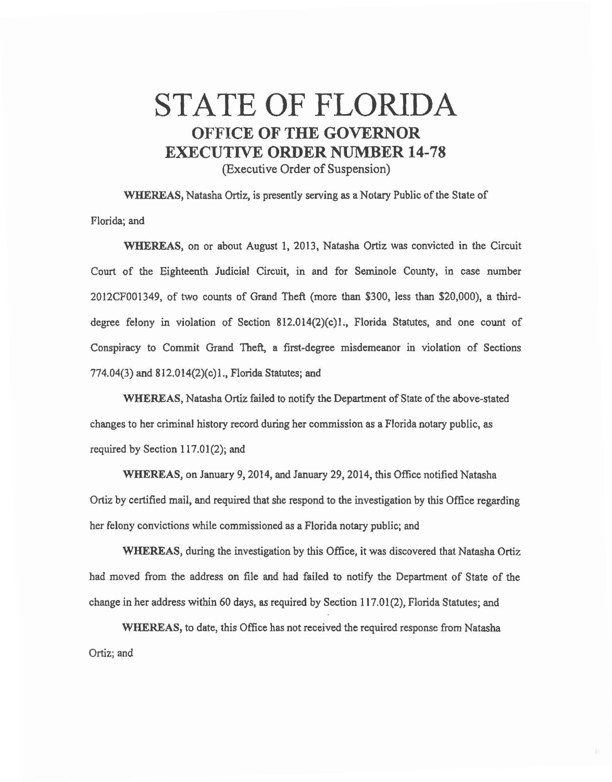## STATE OF FLORIDA OFFICE **OF THE GOVERNOR**  EXECUTIVE **ORDER** NUMBER **14-78**  (Executive Order of Suspension)

WHEREAS, Natasha Ortiz, is presently serving as a Notary Public of the State of Florida; and

WHEREAS, on or about August 1, 2013, Natasha Ortiz was convicted in the Circuit Court of the Eighteenth Judicial Circuit, in and for Seminole County, in case number 2012CF001349, of two cowits of Grand Theft (more than \$300, less than \$20,000), a thirddegree felony in violation of Section 812.014(2)(c)l., Florida Statutes, and one count of Conspiracy to Commit Grand Theft, a first-degree misdemeanor in violation of Sections 774.04(3) and 812.014(2)(c)l., Florida Statutes; and

WHEREAS, Natasha Ortiz failed to notify the Department of State of the above-stated changes to her criminal history record during her commission as a Florida notary public, as required by Section 117.01(2); and

WHEREAS, on January 9, 2014, and January 29, 2014, this Office notified Natasha Ortiz by certified mail, and required that she respond to the investigation by this Office regarding her felony convictions while commissioned as a Florida notary public; and

WHEREAS, during the investigation by this Office, it was discovered that Natasha Ortiz bad moved from the address on file and had failed to notify the Department of State of the change in her address within 60 days, *as* required by Section 117.01 (2), Florida Statutes; and

WHEREAS, to date, this Office has not received the required response from Natasha Ortiz; and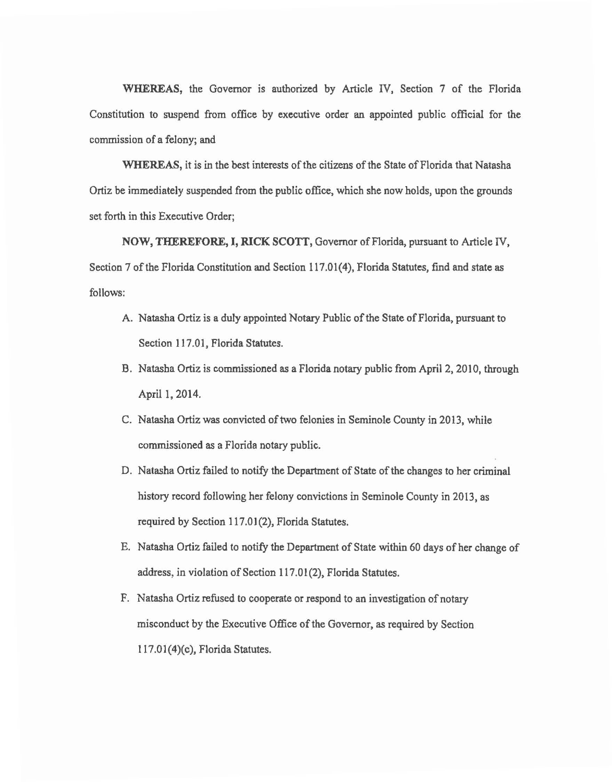WHEREAS, the Governor is authorized by Article IV, Section 7 of the Florida Constitution to suspend from office by executive order an appointed public official for the commission of a felony; and

WHEREAS, it is in the best interests of the citizens of the State of Florida that Natasha Ortiz be immediately suspended from the public office, which she now holds, upon the grounds set forth in this Executive Order;

NOW, THEREFORE, I, RICK SCOTT, Governor of Florida, pursuant to Article IV, Section 7 of the Florida Constitution and Section 117.01(4), Florida Statutes, find and state as follows:

- A. Natasha Ortiz is a duly appointed Notary Public of the State of Florida, pursuant to Section 117.01, Florida Statutes.
- B. Natasha Ortiz is commissioned as a Florida notary public from April 2, 2010, through April 1, 2014.
- C. Natasha Ortiz was convicted of two felonies in Seminole County in 2013, while commissioned as a Florida notary public.
- D. Natasha Ortiz failed to notify the Department of State of the changes to her criminal history record following her felony convictions in Seminole County in 2013, as required by Section 117.01(2), Florida Statutes.
- E. Natasha Ortiz failed to notify the Department of State within 60 days of her change of address, in violation of Section 117.01(2), Florida Statutes.
- F. Natasha Ortiz refused to cooperate or respond to an investigation of notary misconduct by the Executive Office of the Governor, as required by Section  $117.01(4)(c)$ , Florida Statutes.